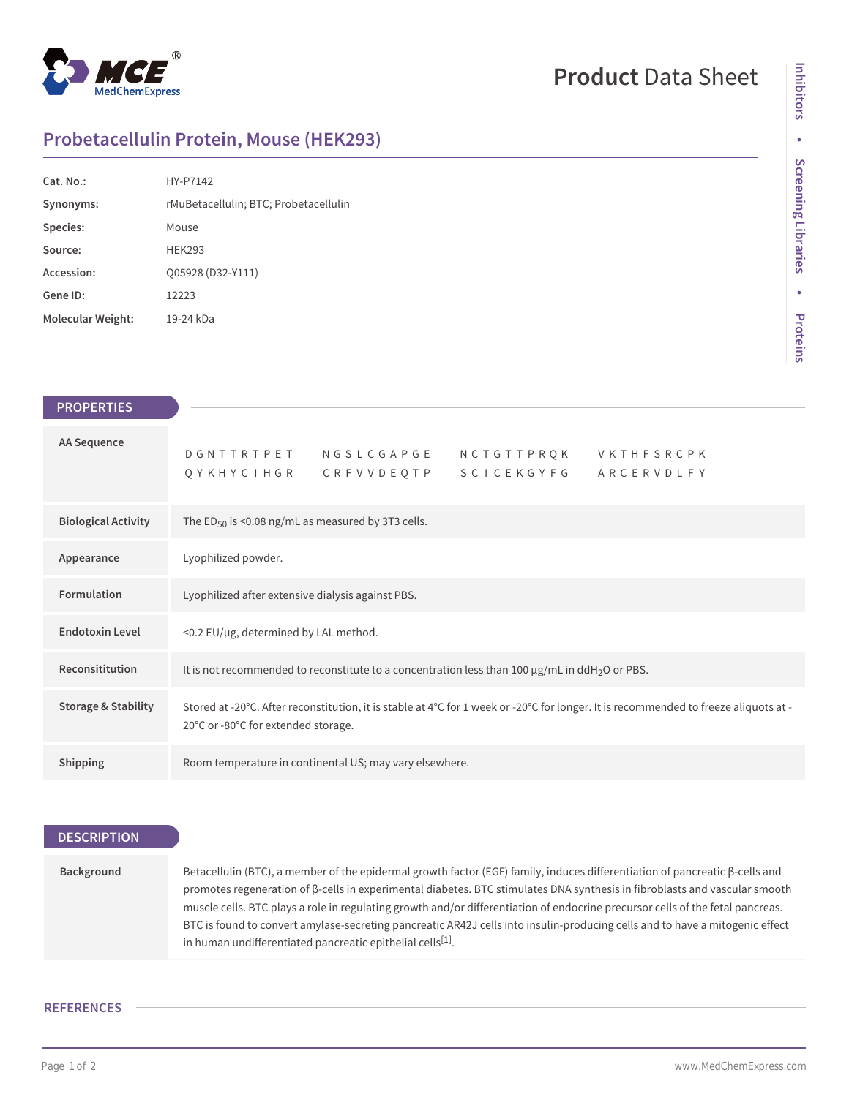

## **Product** Data Sheet

**Inhibitors**

Inhibitors

**•**

**Screening Libraries**

**Screening Libraries** 

**•**

**Proteins**

## **Probetacellulin Protein, Mouse (HEK293)**

| Cat. No.          | HY-P7142                              |
|-------------------|---------------------------------------|
| Synonyms:         | rMuBetacellulin; BTC; Probetacellulin |
| Species:          | Mouse                                 |
| Source:           | <b>HFK293</b>                         |
| Accession:        | Q05928 (D32-Y111)                     |
| Gene ID:          | 12223                                 |
| Molecular Weight: | 19-24 kDa                             |

| <b>PROPERTIES</b>              |                                                                                                                                                                             |  |
|--------------------------------|-----------------------------------------------------------------------------------------------------------------------------------------------------------------------------|--|
|                                |                                                                                                                                                                             |  |
| <b>AA Sequence</b>             | DGNTTRTPET NGSLCGAPGE<br>N C T G T T P R Q K<br><b>VKTHFSRCPK</b><br>QYKHYCIHGR CRFVVDEQTP SCICEKGYFG<br>ARCERVDLFY                                                         |  |
| <b>Biological Activity</b>     | The ED <sub>50</sub> is <0.08 ng/mL as measured by 3T3 cells.                                                                                                               |  |
| Appearance                     | Lyophilized powder.                                                                                                                                                         |  |
| Formulation                    | Lyophilized after extensive dialysis against PBS.                                                                                                                           |  |
| <b>Endotoxin Level</b>         | <0.2 EU/µg, determined by LAL method.                                                                                                                                       |  |
| Reconsititution                | It is not recommended to reconstitute to a concentration less than 100 $\mu$ g/mL in ddH <sub>2</sub> O or PBS.                                                             |  |
| <b>Storage &amp; Stability</b> | Stored at -20°C. After reconstitution, it is stable at 4°C for 1 week or -20°C for longer. It is recommended to freeze aliquots at -<br>20°C or -80°C for extended storage. |  |
| Shipping                       | Room temperature in continental US; may vary elsewhere.                                                                                                                     |  |

**DESCRIPTION Background** Betacellulin (BTC), a member of the epidermal growth factor (EGF) family, induces differentiation of pancreatic β-cells and promotes regeneration of β-cells in experimental diabetes. BTC stimulates DNA synthesis in fibroblasts and vascular smooth muscle cells. BTC plays a role in regulating growth and/or differentiation of endocrine precursor cells of the fetal pancreas. BTC is found to convert amylase-secreting pancreatic AR42J cells into insulin-producing cells and to have a mitogenic effect in human undifferentiated pancreatic epithelial cells $^{[1]}$ .

## **REFERENCES**